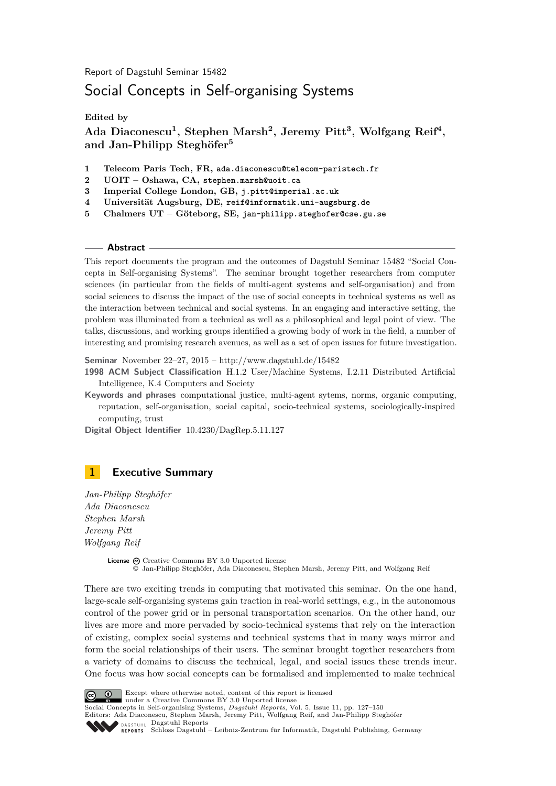Report of Dagstuhl Seminar 15482

# Social Concepts in Self-organising Systems

**Edited by**

**Ada Diaconescu<sup>1</sup> , Stephen Marsh<sup>2</sup> , Jeremy Pitt<sup>3</sup> , Wolfgang Reif<sup>4</sup> , and Jan-Philipp Steghöfer<sup>5</sup>**

- **1 Telecom Paris Tech, FR, ada.diaconescu@telecom-paristech.fr**
- **2 UOIT Oshawa, CA, stephen.marsh@uoit.ca**
- **3 Imperial College London, GB, j.pitt@imperial.ac.uk**
- **4 Universität Augsburg, DE, reif@informatik.uni-augsburg.de**
- **5 Chalmers UT Göteborg, SE, jan-philipp.steghofer@cse.gu.se**

### **Abstract**

This report documents the program and the outcomes of Dagstuhl Seminar 15482 "Social Concepts in Self-organising Systems". The seminar brought together researchers from computer sciences (in particular from the fields of multi-agent systems and self-organisation) and from social sciences to discuss the impact of the use of social concepts in technical systems as well as the interaction between technical and social systems. In an engaging and interactive setting, the problem was illuminated from a technical as well as a philosophical and legal point of view. The talks, discussions, and working groups identified a growing body of work in the field, a number of interesting and promising research avenues, as well as a set of open issues for future investigation.

**Seminar** November 22–27, 2015 –<http://www.dagstuhl.de/15482>

- **1998 ACM Subject Classification** H.1.2 User/Machine Systems, I.2.11 Distributed Artificial Intelligence, K.4 Computers and Society
- **Keywords and phrases** computational justice, multi-agent sytems, norms, organic computing, reputation, self-organisation, social capital, socio-technical systems, sociologically-inspired computing, trust

**Digital Object Identifier** [10.4230/DagRep.5.11.127](http://dx.doi.org/10.4230/DagRep.5.11.127)

# <span id="page-0-0"></span>**1 Executive Summary**

*Jan-Philipp Steghöfer Ada Diaconescu Stephen Marsh Jeremy Pitt Wolfgang Reif*

> License  $\textcircled{c}$  [Creative Commons BY 3.0 Unported](http://creativecommons.org/licenses/by/3.0/) license © [Jan-Philipp Steghöfer, Ada Diaconescu, Stephen Marsh, Jeremy Pitt, and Wolfgang Reif](#page-0-0)

There are two exciting trends in computing that motivated this seminar. On the one hand, large-scale self-organising systems gain traction in real-world settings, e.g., in the autonomous control of the power grid or in personal transportation scenarios. On the other hand, our lives are more and more pervaded by socio-technical systems that rely on the interaction of existing, complex social systems and technical systems that in many ways mirror and form the social relationships of their users. The seminar brought together researchers from a variety of domains to discuss the technical, legal, and social issues these trends incur. One focus was how social concepts can be formalised and implemented to make technical



Except where otherwise noted, content of this report is licensed

under a [Creative Commons BY 3.0 Unported](http://creativecommons.org/licenses/by/3.0/) license

Social Concepts in Self-organising Systems, *Dagstuhl Reports*, Vol. 5, Issue 11, pp. 127[–150](#page-23-0) Editors: Ada Diaconescu, Stephen Marsh, Jeremy Pitt, Wolfgang Reif, and Jan-Philipp Steghöfer

DAGSTUHL [Dagstuhl Reports](http://www.dagstuhl.de/dagstuhl-reports/)

[Schloss Dagstuhl – Leibniz-Zentrum für Informatik, Dagstuhl Publishing, Germany](http://www.dagstuhl.de)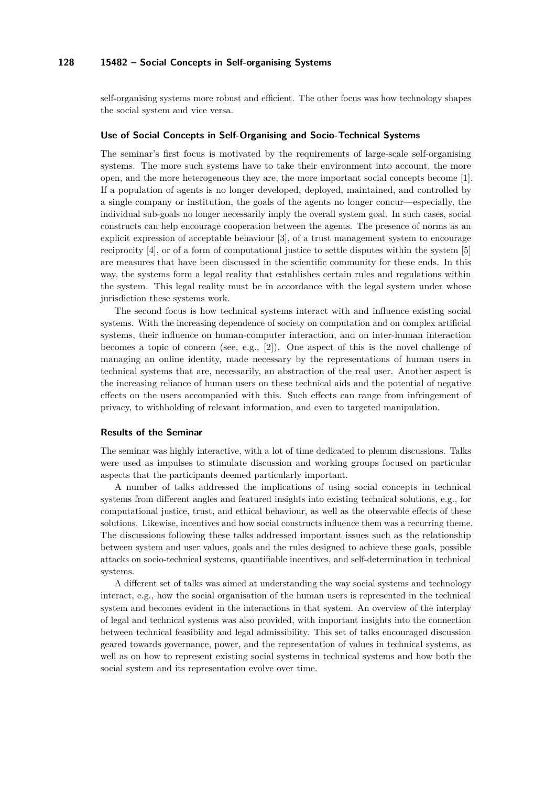self-organising systems more robust and efficient. The other focus was how technology shapes the social system and vice versa.

#### **Use of Social Concepts in Self-Organising and Socio-Technical Systems**

The seminar's first focus is motivated by the requirements of large-scale self-organising systems. The more such systems have to take their environment into account, the more open, and the more heterogeneous they are, the more important social concepts become [[1](#page-2-0)]. If a population of agents is no longer developed, deployed, maintained, and controlled by a single company or institution, the goals of the agents no longer concur—especially, the individual sub-goals no longer necessarily imply the overall system goal. In such cases, social constructs can help encourage cooperation between the agents. The presence of norms as an explicit expression of acceptable behaviour [\[3\]](#page-2-1), of a trust management system to encourage reciprocity [[4](#page-3-0)], or of a form of computational justice to settle disputes within the system [[5](#page-3-1)] are measures that have been discussed in the scientific community for these ends. In this way, the systems form a legal reality that establishes certain rules and regulations within the system. This legal reality must be in accordance with the legal system under whose jurisdiction these systems work.

The second focus is how technical systems interact with and influence existing social systems. With the increasing dependence of society on computation and on complex artificial systems, their influence on human-computer interaction, and on inter-human interaction becomes a topic of concern (see, e.g., [[2](#page-2-2)]). One aspect of this is the novel challenge of managing an online identity, made necessary by the representations of human users in technical systems that are, necessarily, an abstraction of the real user. Another aspect is the increasing reliance of human users on these technical aids and the potential of negative effects on the users accompanied with this. Such effects can range from infringement of privacy, to withholding of relevant information, and even to targeted manipulation.

## **Results of the Seminar**

The seminar was highly interactive, with a lot of time dedicated to plenum discussions. Talks were used as impulses to stimulate discussion and working groups focused on particular aspects that the participants deemed particularly important.

A number of talks addressed the implications of using social concepts in technical systems from different angles and featured insights into existing technical solutions, e.g., for computational justice, trust, and ethical behaviour, as well as the observable effects of these solutions. Likewise, incentives and how social constructs influence them was a recurring theme. The discussions following these talks addressed important issues such as the relationship between system and user values, goals and the rules designed to achieve these goals, possible attacks on socio-technical systems, quantifiable incentives, and self-determination in technical systems.

A different set of talks was aimed at understanding the way social systems and technology interact, e.g., how the social organisation of the human users is represented in the technical system and becomes evident in the interactions in that system. An overview of the interplay of legal and technical systems was also provided, with important insights into the connection between technical feasibility and legal admissibility. This set of talks encouraged discussion geared towards governance, power, and the representation of values in technical systems, as well as on how to represent existing social systems in technical systems and how both the social system and its representation evolve over time.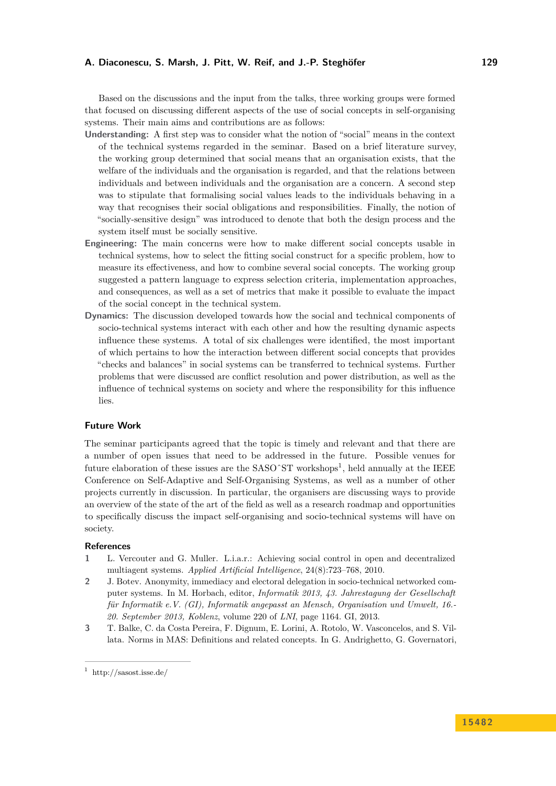Based on the discussions and the input from the talks, three working groups were formed that focused on discussing different aspects of the use of social concepts in self-organising systems. Their main aims and contributions are as follows:

- **Understanding:** A first step was to consider what the notion of "social" means in the context of the technical systems regarded in the seminar. Based on a brief literature survey, the working group determined that social means that an organisation exists, that the welfare of the individuals and the organisation is regarded, and that the relations between individuals and between individuals and the organisation are a concern. A second step was to stipulate that formalising social values leads to the individuals behaving in a way that recognises their social obligations and responsibilities. Finally, the notion of "socially-sensitive design" was introduced to denote that both the design process and the system itself must be socially sensitive.
- **Engineering:** The main concerns were how to make different social concepts usable in technical systems, how to select the fitting social construct for a specific problem, how to measure its effectiveness, and how to combine several social concepts. The working group suggested a pattern language to express selection criteria, implementation approaches, and consequences, as well as a set of metrics that make it possible to evaluate the impact of the social concept in the technical system.
- **Dynamics:** The discussion developed towards how the social and technical components of socio-technical systems interact with each other and how the resulting dynamic aspects influence these systems. A total of six challenges were identified, the most important of which pertains to how the interaction between different social concepts that provides "checks and balances" in social systems can be transferred to technical systems. Further problems that were discussed are conflict resolution and power distribution, as well as the influence of technical systems on society and where the responsibility for this influence lies.

## **Future Work**

The seminar participants agreed that the topic is timely and relevant and that there are a number of open issues that need to be addressed in the future. Possible venues for future elaboration of these issues are the SASO $\hat{S}$ T workshops<sup>[1](#page-2-3)</sup>, held annually at the IEEE Conference on Self-Adaptive and Self-Organising Systems, as well as a number of other projects currently in discussion. In particular, the organisers are discussing ways to provide an overview of the state of the art of the field as well as a research roadmap and opportunities to specifically discuss the impact self-organising and socio-technical systems will have on society.

#### **References**

- <span id="page-2-0"></span>**1** L. Vercouter and G. Muller. L.i.a.r.: Achieving social control in open and decentralized multiagent systems. *Applied Artificial Intelligence*, 24(8):723–768, 2010.
- <span id="page-2-2"></span>**2** J. Botev. Anonymity, immediacy and electoral delegation in socio-technical networked computer systems. In M. Horbach, editor, *Informatik 2013, 43. Jahrestagung der Gesellschaft für Informatik e.V. (GI), Informatik angepasst an Mensch, Organisation und Umwelt, 16.- 20. September 2013, Koblenz*, volume 220 of *LNI*, page 1164. GI, 2013.
- <span id="page-2-1"></span>**3** T. Balke, C. da Costa Pereira, F. Dignum, E. Lorini, A. Rotolo, W. Vasconcelos, and S. Villata. Norms in MAS: Definitions and related concepts. In G. Andrighetto, G. Governatori,

<span id="page-2-3"></span><sup>&</sup>lt;sup>1</sup> <http://sasost.isse.de/>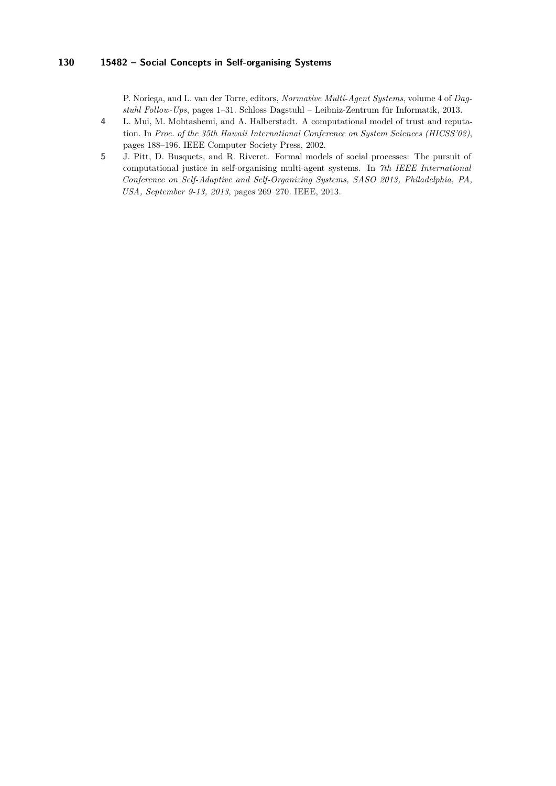P. Noriega, and L. van der Torre, editors, *Normative Multi-Agent Systems*, volume 4 of *Dagstuhl Follow-Ups*, pages 1–31. Schloss Dagstuhl – Leibniz-Zentrum für Informatik, 2013.

- <span id="page-3-0"></span>**4** L. Mui, M. Mohtashemi, and A. Halberstadt. A computational model of trust and reputation. In *Proc. of the 35th Hawaii International Conference on System Sciences (HICSS'02)*, pages 188–196. IEEE Computer Society Press, 2002.
- <span id="page-3-1"></span>**5** J. Pitt, D. Busquets, and R. Riveret. Formal models of social processes: The pursuit of computational justice in self-organising multi-agent systems. In *7th IEEE International Conference on Self-Adaptive and Self-Organizing Systems, SASO 2013, Philadelphia, PA, USA, September 9-13, 2013*, pages 269–270. IEEE, 2013.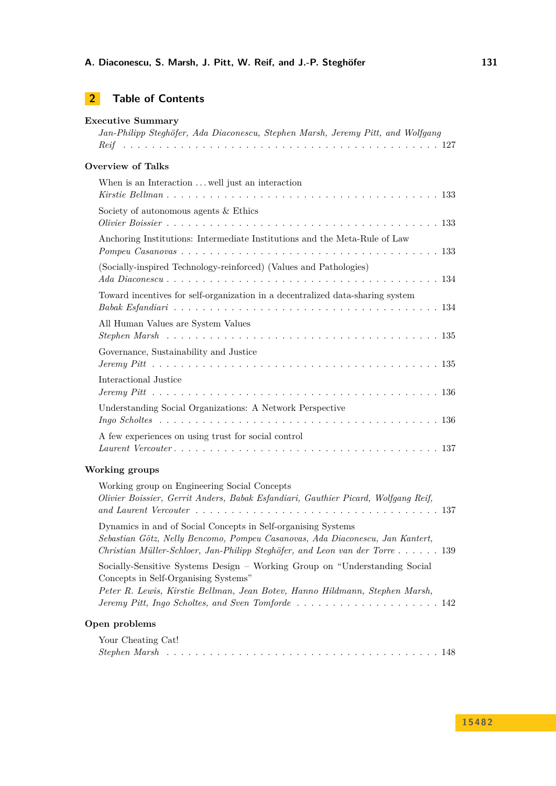# **[Executive Summary](#page-0-0)**

| Jan-Philipp Steghöfer, Ada Diaconescu, Stephen Marsh, Jeremy Pitt, and Wolfgang |
|---------------------------------------------------------------------------------|
| <b>Overview of Talks</b>                                                        |
| When is an Interaction  well just an interaction                                |
| Society of autonomous agents & Ethics                                           |
| Anchoring Institutions: Intermediate Institutions and the Meta-Rule of Law      |
| (Socially-inspired Technology-reinforced) (Values and Pathologies)              |
| Toward incentives for self-organization in a decentralized data-sharing system  |
| All Human Values are System Values                                              |
| Governance, Sustainability and Justice                                          |
| Interactional Justice                                                           |
| Understanding Social Organizations: A Network Perspective                       |
| A few experiences on using trust for social control                             |
| $\mathbf{v}$                                                                    |

# **[Working groups](#page-10-1)**

| Working group on Engineering Social Concepts                                       |
|------------------------------------------------------------------------------------|
| Olivier Boissier, Gerrit Anders, Babak Esfandiari, Gauthier Picard, Wolfgang Reif, |
|                                                                                    |
| Dynamics in and of Social Concepts in Self-organising Systems                      |
| Sebastian Götz, Nelly Bencomo, Pompeu Casanovas, Ada Diaconescu, Jan Kantert,      |
| Christian Müller-Schloer, Jan-Philipp Steghöfer, and Leon van der Torre 139        |
| Socially-Sensitive Systems Design – Working Group on "Understanding Social         |
| Concepts in Self-Organising Systems"                                               |
| Peter R. Lewis, Kirstie Bellman, Jean Botev, Hanno Hildmann, Stephen Marsh,        |
|                                                                                    |
| Open problems                                                                      |
| Your Cheating Cat!                                                                 |

| Stephen Marsh |
|---------------|
|---------------|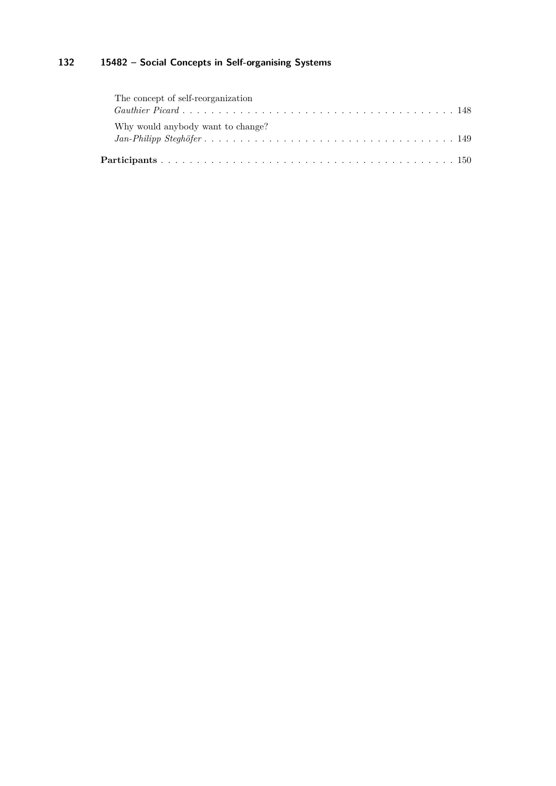| The concept of self-reorganization |  |
|------------------------------------|--|
|                                    |  |
| Why would anybody want to change?  |  |
|                                    |  |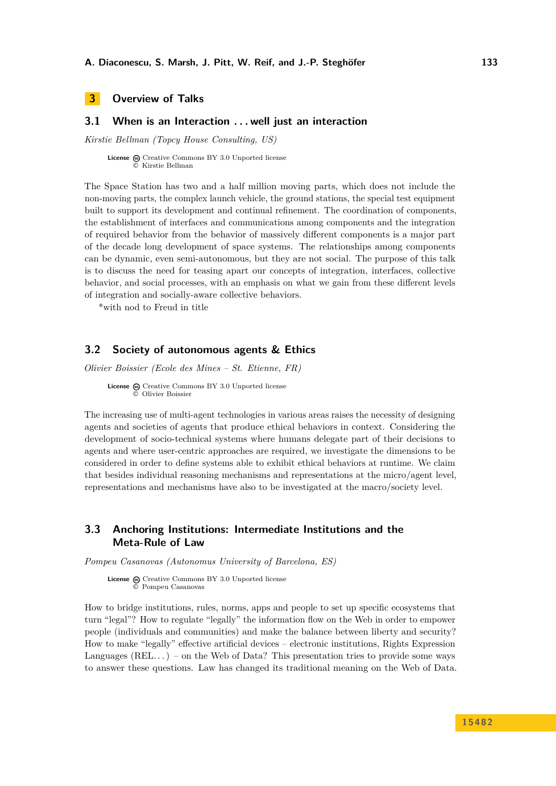# <span id="page-6-0"></span>**3 Overview of Talks**

# <span id="page-6-1"></span>**3.1 When is an Interaction . . . well just an interaction**

*Kirstie Bellman (Topcy House Consulting, US)*

License  $\textcircled{c}$  [Creative Commons BY 3.0 Unported](http://creativecommons.org/licenses/by/3.0/) license © [Kirstie Bellman](#page-6-1)

The Space Station has two and a half million moving parts, which does not include the non-moving parts, the complex launch vehicle, the ground stations, the special test equipment built to support its development and continual refinement. The coordination of components, the establishment of interfaces and communications among components and the integration of required behavior from the behavior of massively different components is a major part of the decade long development of space systems. The relationships among components can be dynamic, even semi-autonomous, but they are not social. The purpose of this talk is to discuss the need for teasing apart our concepts of integration, interfaces, collective behavior, and social processes, with an emphasis on what we gain from these different levels of integration and socially-aware collective behaviors.

\*with nod to Freud in title

## <span id="page-6-2"></span>**3.2 Society of autonomous agents & Ethics**

*Olivier Boissier (Ecole des Mines – St. Etienne, FR)*

**License**  $\textcircled{e}$  [Creative Commons BY 3.0 Unported](http://creativecommons.org/licenses/by/3.0/) license © [Olivier Boissier](#page-6-2)

The increasing use of multi-agent technologies in various areas raises the necessity of designing agents and societies of agents that produce ethical behaviors in context. Considering the development of socio-technical systems where humans delegate part of their decisions to agents and where user-centric approaches are required, we investigate the dimensions to be considered in order to define systems able to exhibit ethical behaviors at runtime. We claim that besides individual reasoning mechanisms and representations at the micro/agent level, representations and mechanisms have also to be investigated at the macro/society level.

# <span id="page-6-3"></span>**3.3 Anchoring Institutions: Intermediate Institutions and the Meta-Rule of Law**

*Pompeu Casanovas (Autonomus University of Barcelona, ES)*

License  $\textcircled{a}$  [Creative Commons BY 3.0 Unported](http://creativecommons.org/licenses/by/3.0/) license © [Pompeu Casanovas](#page-6-3)

How to bridge institutions, rules, norms, apps and people to set up specific ecosystems that turn "legal"? How to regulate "legally" the information flow on the Web in order to empower people (individuals and communities) and make the balance between liberty and security? How to make "legally" effective artificial devices – electronic institutions, Rights Expression Languages  $(REL...)$  – on the Web of Data? This presentation tries to provide some ways to answer these questions. Law has changed its traditional meaning on the Web of Data.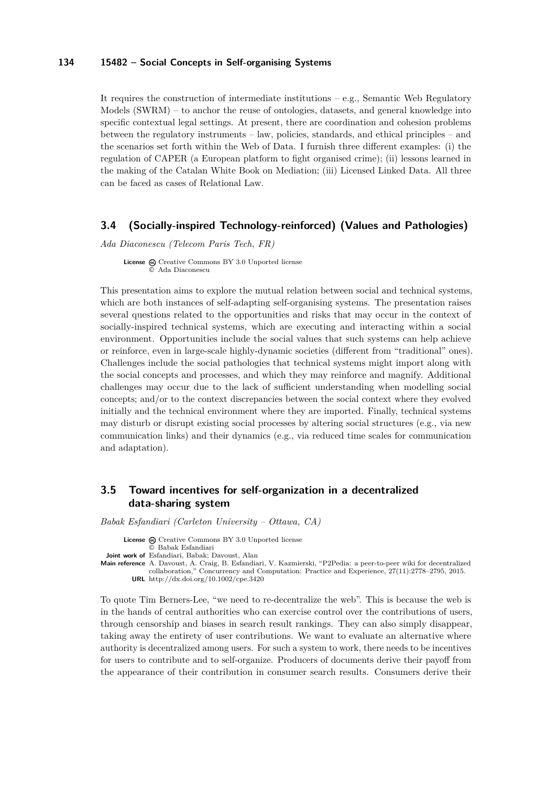It requires the construction of intermediate institutions  $-e.g.,$  Semantic Web Regulatory Models (SWRM) – to anchor the reuse of ontologies, datasets, and general knowledge into specific contextual legal settings. At present, there are coordination and cohesion problems between the regulatory instruments – law, policies, standards, and ethical principles – and the scenarios set forth within the Web of Data. I furnish three different examples: (i) the regulation of CAPER (a European platform to fight organised crime); (ii) lessons learned in the making of the Catalan White Book on Mediation; (iii) Licensed Linked Data. All three can be faced as cases of Relational Law.

# <span id="page-7-0"></span>**3.4 (Socially-inspired Technology-reinforced) (Values and Pathologies)**

*Ada Diaconescu (Telecom Paris Tech, FR)*

License  $\textcircled{c}$  [Creative Commons BY 3.0 Unported](http://creativecommons.org/licenses/by/3.0/) license © [Ada Diaconescu](#page-7-0)

This presentation aims to explore the mutual relation between social and technical systems, which are both instances of self-adapting self-organising systems. The presentation raises several questions related to the opportunities and risks that may occur in the context of socially-inspired technical systems, which are executing and interacting within a social environment. Opportunities include the social values that such systems can help achieve or reinforce, even in large-scale highly-dynamic societies (different from "traditional" ones). Challenges include the social pathologies that technical systems might import along with the social concepts and processes, and which they may reinforce and magnify. Additional challenges may occur due to the lack of sufficient understanding when modelling social concepts; and/or to the context discrepancies between the social context where they evolved initially and the technical environment where they are imported. Finally, technical systems may disturb or disrupt existing social processes by altering social structures (e.g., via new communication links) and their dynamics (e.g., via reduced time scales for communication and adaptation).

# <span id="page-7-1"></span>**3.5 Toward incentives for self-organization in a decentralized data-sharing system**

*Babak Esfandiari (Carleton University – Ottawa, CA)*

License  $\textcircled{c}$  [Creative Commons BY 3.0 Unported](http://creativecommons.org/licenses/by/3.0/) license © [Babak Esfandiari](#page-7-1)

**Joint work of** Esfandiari, Babak; Davoust, Alan

**Main reference** [A. Davoust, A. Craig, B. Esfandiari, V. Kazmierski, "P2Pedia: a peer-to-peer wiki for decentralized](http://dx.doi.org/10.1002/cpe.3420) [collaboration," Concurrency and Computation: Practice and Experience, 27\(11\):2778–2795, 2015.](http://dx.doi.org/10.1002/cpe.3420) **URL** <http://dx.doi.org/10.1002/cpe.3420>

To quote Tim Berners-Lee, "we need to re-decentralize the web". This is because the web is in the hands of central authorities who can exercise control over the contributions of users, through censorship and biases in search result rankings. They can also simply disappear, taking away the entirety of user contributions. We want to evaluate an alternative where authority is decentralized among users. For such a system to work, there needs to be incentives for users to contribute and to self-organize. Producers of documents derive their payoff from the appearance of their contribution in consumer search results. Consumers derive their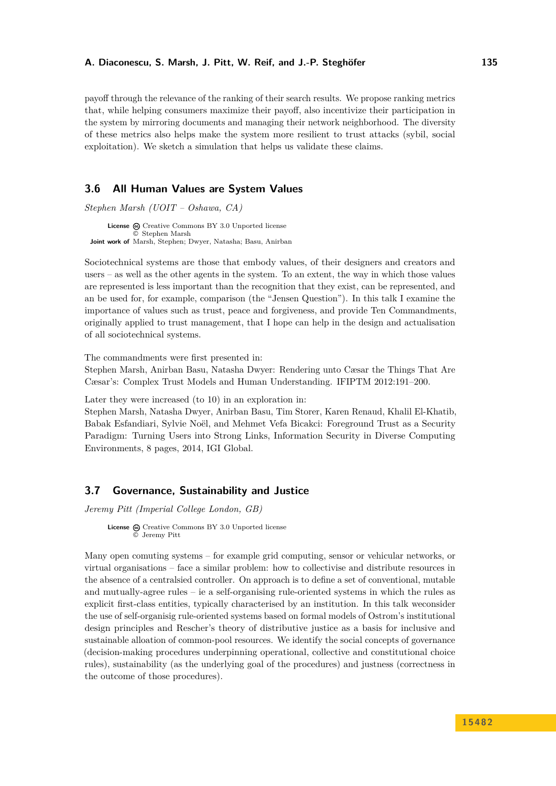payoff through the relevance of the ranking of their search results. We propose ranking metrics that, while helping consumers maximize their payoff, also incentivize their participation in the system by mirroring documents and managing their network neighborhood. The diversity of these metrics also helps make the system more resilient to trust attacks (sybil, social exploitation). We sketch a simulation that helps us validate these claims.

# <span id="page-8-0"></span>**3.6 All Human Values are System Values**

*Stephen Marsh (UOIT – Oshawa, CA)*

**License**  $\textcircled{c}$  [Creative Commons BY 3.0 Unported](http://creativecommons.org/licenses/by/3.0/) license © [Stephen Marsh](#page-8-0) **Joint work of** Marsh, Stephen; Dwyer, Natasha; Basu, Anirban

Sociotechnical systems are those that embody values, of their designers and creators and users – as well as the other agents in the system. To an extent, the way in which those values are represented is less important than the recognition that they exist, can be represented, and an be used for, for example, comparison (the "Jensen Question"). In this talk I examine the importance of values such as trust, peace and forgiveness, and provide Ten Commandments, originally applied to trust management, that I hope can help in the design and actualisation of all sociotechnical systems.

The commandments were first presented in:

Stephen Marsh, Anirban Basu, Natasha Dwyer: Rendering unto Cæsar the Things That Are Cæsar's: Complex Trust Models and Human Understanding. IFIPTM 2012:191–200.

Later they were increased (to 10) in an exploration in:

Stephen Marsh, Natasha Dwyer, Anirban Basu, Tim Storer, Karen Renaud, Khalil El-Khatib, Babak Esfandiari, Sylvie Noël, and Mehmet Vefa Bicakci: Foreground Trust as a Security Paradigm: Turning Users into Strong Links, Information Security in Diverse Computing Environments, 8 pages, 2014, IGI Global.

## <span id="page-8-1"></span>**3.7 Governance, Sustainability and Justice**

*Jeremy Pitt (Imperial College London, GB)*

License  $\textcircled{a}$  [Creative Commons BY 3.0 Unported](http://creativecommons.org/licenses/by/3.0/) license © [Jeremy Pitt](#page-8-1)

Many open comuting systems – for example grid computing, sensor or vehicular networks, or virtual organisations – face a similar problem: how to collectivise and distribute resources in the absence of a centralsied controller. On approach is to define a set of conventional, mutable and mutually-agree rules – ie a self-organising rule-oriented systems in which the rules as explicit first-class entities, typically characterised by an institution. In this talk weconsider the use of self-organisig rule-oriented systems based on formal models of Ostrom's institutional design principles and Rescher's theory of distributive justice as a basis for inclusive and sustainable alloation of common-pool resources. We identify the social concepts of governance (decision-making procedures underpinning operational, collective and constitutional choice rules), sustainability (as the underlying goal of the procedures) and justness (correctness in the outcome of those procedures).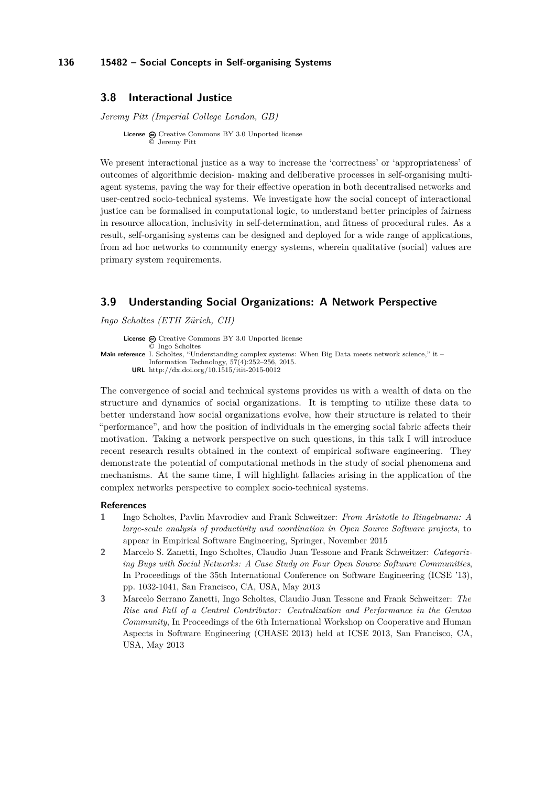## <span id="page-9-0"></span>**3.8 Interactional Justice**

*Jeremy Pitt (Imperial College London, GB)*

**License**  $\odot$  [Creative Commons BY 3.0 Unported](http://creativecommons.org/licenses/by/3.0/) license © [Jeremy Pitt](#page-9-0)

We present interactional justice as a way to increase the 'correctness' or 'appropriateness' of outcomes of algorithmic decision- making and deliberative processes in self-organising multiagent systems, paving the way for their effective operation in both decentralised networks and user-centred socio-technical systems. We investigate how the social concept of interactional justice can be formalised in computational logic, to understand better principles of fairness in resource allocation, inclusivity in self-determination, and fitness of procedural rules. As a result, self-organising systems can be designed and deployed for a wide range of applications, from ad hoc networks to community energy systems, wherein qualitative (social) values are primary system requirements.

# <span id="page-9-1"></span>**3.9 Understanding Social Organizations: A Network Perspective**

*Ingo Scholtes (ETH Zürich, CH)*

**License**  $\textcircled{c}$  [Creative Commons BY 3.0 Unported](http://creativecommons.org/licenses/by/3.0/) license © [Ingo Scholtes](#page-9-1) Main reference [I. Scholtes, "Understanding complex systems: When Big Data meets network science," it –](http://dx.doi.org/10.1515/itit-2015-0012) [Information Technology, 57\(4\):252–256, 2015.](http://dx.doi.org/10.1515/itit-2015-0012) **URL** <http://dx.doi.org/10.1515/itit-2015-0012>

The convergence of social and technical systems provides us with a wealth of data on the structure and dynamics of social organizations. It is tempting to utilize these data to better understand how social organizations evolve, how their structure is related to their "performance", and how the position of individuals in the emerging social fabric affects their motivation. Taking a network perspective on such questions, in this talk I will introduce recent research results obtained in the context of empirical software engineering. They demonstrate the potential of computational methods in the study of social phenomena and mechanisms. At the same time, I will highlight fallacies arising in the application of the complex networks perspective to complex socio-technical systems.

### **References**

- **1** Ingo Scholtes, Pavlin Mavrodiev and Frank Schweitzer: *From Aristotle to Ringelmann: A large-scale analysis of productivity and coordination in Open Source Software projects*, to appear in Empirical Software Engineering, Springer, November 2015
- **2** Marcelo S. Zanetti, Ingo Scholtes, Claudio Juan Tessone and Frank Schweitzer: *Categorizing Bugs with Social Networks: A Case Study on Four Open Source Software Communities*, In Proceedings of the 35th International Conference on Software Engineering (ICSE '13), pp. 1032-1041, San Francisco, CA, USA, May 2013
- **3** Marcelo Serrano Zanetti, Ingo Scholtes, Claudio Juan Tessone and Frank Schweitzer: *The Rise and Fall of a Central Contributor: Centralization and Performance in the Gentoo Community*, In Proceedings of the 6th International Workshop on Cooperative and Human Aspects in Software Engineering (CHASE 2013) held at ICSE 2013, San Francisco, CA, USA, May 2013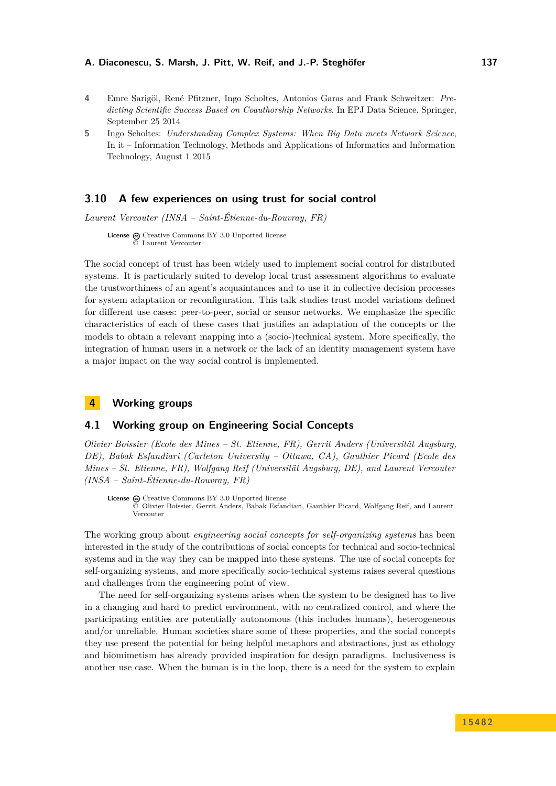- **4** Emre Sarigöl, René Pfitzner, Ingo Scholtes, Antonios Garas and Frank Schweitzer: *Predicting Scientific Success Based on Coauthorship Networks*, In EPJ Data Science, Springer, September 25 2014
- **5** Ingo Scholtes: *Understanding Complex Systems: When Big Data meets Network Science*, In it – Information Technology, Methods and Applications of Informatics and Information Technology, August 1 2015

# <span id="page-10-0"></span>**3.10 A few experiences on using trust for social control**

*Laurent Vercouter (INSA – Saint-Étienne-du-Rouvray, FR)*

License  $\textcircled{a}$  [Creative Commons BY 3.0 Unported](http://creativecommons.org/licenses/by/3.0/) license © [Laurent Vercouter](#page-10-0)

The social concept of trust has been widely used to implement social control for distributed systems. It is particularly suited to develop local trust assessment algorithms to evaluate the trustworthiness of an agent's acquaintances and to use it in collective decision processes for system adaptation or reconfiguration. This talk studies trust model variations defined for different use cases: peer-to-peer, social or sensor networks. We emphasize the specific characteristics of each of these cases that justifies an adaptation of the concepts or the models to obtain a relevant mapping into a (socio-)technical system. More specifically, the integration of human users in a network or the lack of an identity management system have a major impact on the way social control is implemented.

# <span id="page-10-1"></span>**4 Working groups**

## <span id="page-10-2"></span>**4.1 Working group on Engineering Social Concepts**

*Olivier Boissier (Ecole des Mines – St. Etienne, FR), Gerrit Anders (Universität Augsburg, DE), Babak Esfandiari (Carleton University – Ottawa, CA), Gauthier Picard (Ecole des Mines – St. Etienne, FR), Wolfgang Reif (Universität Augsburg, DE), and Laurent Vercouter (INSA – Saint-Étienne-du-Rouvray, FR)*

License @ [Creative Commons BY 3.0 Unported](http://creativecommons.org/licenses/by/3.0/) license © [Olivier Boissier, Gerrit Anders, Babak Esfandiari, Gauthier Picard, Wolfgang Reif, and Laurent](#page-10-2) [Vercouter](#page-10-2)

The working group about *engineering social concepts for self-organizing systems* has been interested in the study of the contributions of social concepts for technical and socio-technical systems and in the way they can be mapped into these systems. The use of social concepts for self-organizing systems, and more specifically socio-technical systems raises several questions and challenges from the engineering point of view.

The need for self-organizing systems arises when the system to be designed has to live in a changing and hard to predict environment, with no centralized control, and where the participating entities are potentially autonomous (this includes humans), heterogeneous and/or unreliable. Human societies share some of these properties, and the social concepts they use present the potential for being helpful metaphors and abstractions, just as ethology and biomimetism has already provided inspiration for design paradigms. Inclusiveness is another use case. When the human is in the loop, there is a need for the system to explain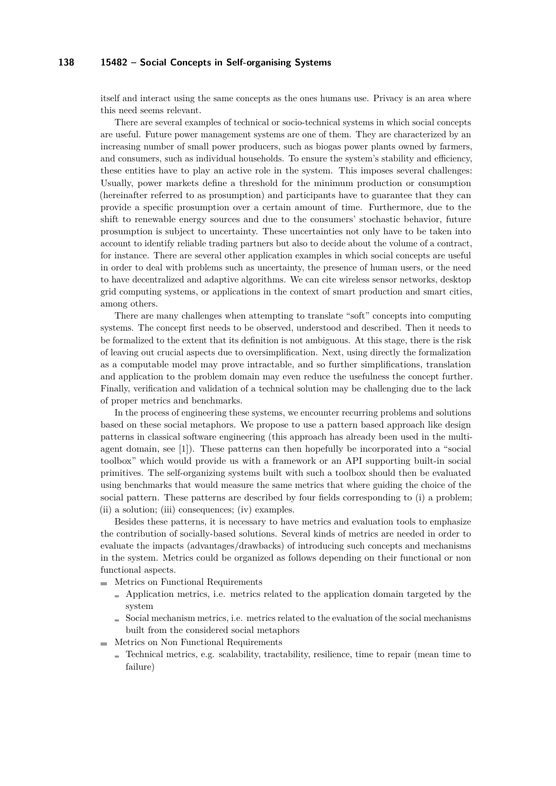itself and interact using the same concepts as the ones humans use. Privacy is an area where this need seems relevant.

There are several examples of technical or socio-technical systems in which social concepts are useful. Future power management systems are one of them. They are characterized by an increasing number of small power producers, such as biogas power plants owned by farmers, and consumers, such as individual households. To ensure the system's stability and efficiency, these entities have to play an active role in the system. This imposes several challenges: Usually, power markets define a threshold for the minimum production or consumption (hereinafter referred to as prosumption) and participants have to guarantee that they can provide a specific prosumption over a certain amount of time. Furthermore, due to the shift to renewable energy sources and due to the consumers' stochastic behavior, future prosumption is subject to uncertainty. These uncertainties not only have to be taken into account to identify reliable trading partners but also to decide about the volume of a contract, for instance. There are several other application examples in which social concepts are useful in order to deal with problems such as uncertainty, the presence of human users, or the need to have decentralized and adaptive algorithms. We can cite wireless sensor networks, desktop grid computing systems, or applications in the context of smart production and smart cities, among others.

There are many challenges when attempting to translate "soft" concepts into computing systems. The concept first needs to be observed, understood and described. Then it needs to be formalized to the extent that its definition is not ambiguous. At this stage, there is the risk of leaving out crucial aspects due to oversimplification. Next, using directly the formalization as a computable model may prove intractable, and so further simplifications, translation and application to the problem domain may even reduce the usefulness the concept further. Finally, verification and validation of a technical solution may be challenging due to the lack of proper metrics and benchmarks.

In the process of engineering these systems, we encounter recurring problems and solutions based on these social metaphors. We propose to use a pattern based approach like design patterns in classical software engineering (this approach has already been used in the multiagent domain, see [[1](#page-12-1)]). These patterns can then hopefully be incorporated into a "social toolbox" which would provide us with a framework or an API supporting built-in social primitives. The self-organizing systems built with such a toolbox should then be evaluated using benchmarks that would measure the same metrics that where guiding the choice of the social pattern. These patterns are described by four fields corresponding to (i) a problem; (ii) a solution; (iii) consequences; (iv) examples.

Besides these patterns, it is necessary to have metrics and evaluation tools to emphasize the contribution of socially-based solutions. Several kinds of metrics are needed in order to evaluate the impacts (advantages/drawbacks) of introducing such concepts and mechanisms in the system. Metrics could be organized as follows depending on their functional or non functional aspects.

- **Metrics on Functional Requirements** 
	- Application metrics, i.e. metrics related to the application domain targeted by the system
	- $\blacksquare$  Social mechanism metrics, i.e. metrics related to the evaluation of the social mechanisms built from the considered social metaphors
- $\blacksquare$  Metrics on Non Functional Requirements
	- $\blacksquare$  Technical metrics, e.g. scalability, tractability, resilience, time to repair (mean time to failure)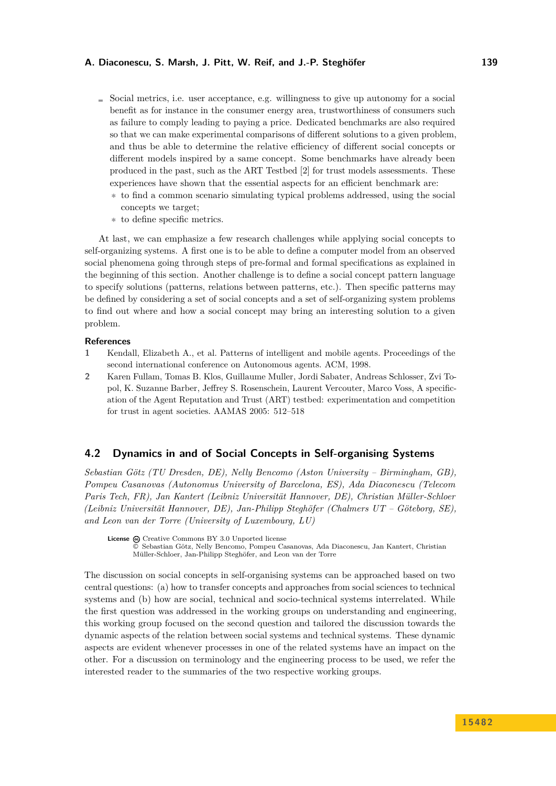- $\blacksquare$  Social metrics, i.e. user acceptance, e.g. willingness to give up autonomy for a social benefit as for instance in the consumer energy area, trustworthiness of consumers such as failure to comply leading to paying a price. Dedicated benchmarks are also required so that we can make experimental comparisons of different solutions to a given problem, and thus be able to determine the relative efficiency of different social concepts or different models inspired by a same concept. Some benchmarks have already been produced in the past, such as the ART Testbed [[2](#page-12-2)] for trust models assessments. These experiences have shown that the essential aspects for an efficient benchmark are:
	- **∗** to find a common scenario simulating typical problems addressed, using the social concepts we target;
	- **∗** to define specific metrics.

At last, we can emphasize a few research challenges while applying social concepts to self-organizing systems. A first one is to be able to define a computer model from an observed social phenomena going through steps of pre-formal and formal specifications as explained in the beginning of this section. Another challenge is to define a social concept pattern language to specify solutions (patterns, relations between patterns, etc.). Then specific patterns may be defined by considering a set of social concepts and a set of self-organizing system problems to find out where and how a social concept may bring an interesting solution to a given problem.

## **References**

- <span id="page-12-1"></span>**1** Kendall, Elizabeth A., et al. Patterns of intelligent and mobile agents. Proceedings of the second international conference on Autonomous agents. ACM, 1998.
- <span id="page-12-2"></span>**2** Karen Fullam, Tomas B. Klos, Guillaume Muller, Jordi Sabater, Andreas Schlosser, Zvi Topol, K. Suzanne Barber, Jeffrey S. Rosenschein, Laurent Vercouter, Marco Voss, A specification of the Agent Reputation and Trust (ART) testbed: experimentation and competition for trust in agent societies. AAMAS 2005: 512–518

# <span id="page-12-0"></span>**4.2 Dynamics in and of Social Concepts in Self-organising Systems**

*Sebastian Götz (TU Dresden, DE), Nelly Bencomo (Aston University – Birmingham, GB), Pompeu Casanovas (Autonomus University of Barcelona, ES), Ada Diaconescu (Telecom Paris Tech, FR), Jan Kantert (Leibniz Universität Hannover, DE), Christian Müller-Schloer (Leibniz Universität Hannover, DE), Jan-Philipp Steghöfer (Chalmers UT – Göteborg, SE), and Leon van der Torre (University of Luxembourg, LU)*

License  $\textcircled{c}$  [Creative Commons BY 3.0 Unported](http://creativecommons.org/licenses/by/3.0/) license © [Sebastian Götz, Nelly Bencomo, Pompeu Casanovas, Ada Diaconescu, Jan Kantert, Christian](#page-12-0) [Müller-Schloer, Jan-Philipp Steghöfer, and Leon van der Torre](#page-12-0)

The discussion on social concepts in self-organising systems can be approached based on two central questions: (a) how to transfer concepts and approaches from social sciences to technical systems and (b) how are social, technical and socio-technical systems interrelated. While the first question was addressed in the working groups on understanding and engineering, this working group focused on the second question and tailored the discussion towards the dynamic aspects of the relation between social systems and technical systems. These dynamic aspects are evident whenever processes in one of the related systems have an impact on the other. For a discussion on terminology and the engineering process to be used, we refer the interested reader to the summaries of the two respective working groups.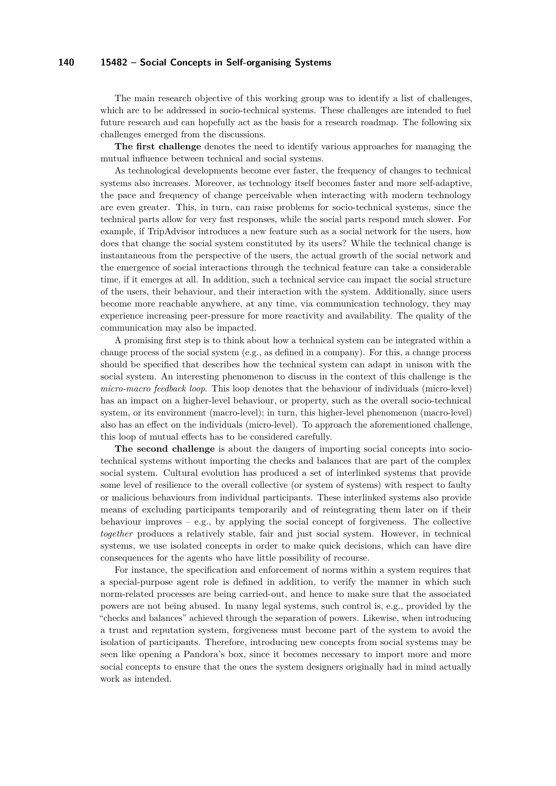The main research objective of this working group was to identify a list of challenges, which are to be addressed in socio-technical systems. These challenges are intended to fuel future research and can hopefully act as the basis for a research roadmap. The following six challenges emerged from the discussions.

**The first challenge** denotes the need to identify various approaches for managing the mutual influence between technical and social systems.

As technological developments become ever faster, the frequency of changes to technical systems also increases. Moreover, as technology itself becomes faster and more self-adaptive, the pace and frequency of change perceivable when interacting with modern technology are even greater. This, in turn, can raise problems for socio-technical systems, since the technical parts allow for very fast responses, while the social parts respond much slower. For example, if TripAdvisor introduces a new feature such as a social network for the users, how does that change the social system constituted by its users? While the technical change is instantaneous from the perspective of the users, the actual growth of the social network and the emergence of social interactions through the technical feature can take a considerable time, if it emerges at all. In addition, such a technical service can impact the social structure of the users, their behaviour, and their interaction with the system. Additionally, since users become more reachable anywhere, at any time, via communication technology, they may experience increasing peer-pressure for more reactivity and availability. The quality of the communication may also be impacted.

A promising first step is to think about how a technical system can be integrated within a change process of the social system (e.g., as defined in a company). For this, a change process should be specified that describes how the technical system can adapt in unison with the social system. An interesting phenomenon to discuss in the context of this challenge is the *micro-macro feedback loop*. This loop denotes that the behaviour of individuals (micro-level) has an impact on a higher-level behaviour, or property, such as the overall socio-technical system, or its environment (macro-level); in turn, this higher-level phenomenon (macro-level) also has an effect on the individuals (micro-level). To approach the aforementioned challenge, this loop of mutual effects has to be considered carefully.

**The second challenge** is about the dangers of importing social concepts into sociotechnical systems without importing the checks and balances that are part of the complex social system. Cultural evolution has produced a set of interlinked systems that provide some level of resilience to the overall collective (or system of systems) with respect to faulty or malicious behaviours from individual participants. These interlinked systems also provide means of excluding participants temporarily and of reintegrating them later on if their behaviour improves  $-$  e.g., by applying the social concept of forgiveness. The collective *together* produces a relatively stable, fair and just social system. However, in technical systems, we use isolated concepts in order to make quick decisions, which can have dire consequences for the agents who have little possibility of recourse.

For instance, the specification and enforcement of norms within a system requires that a special-purpose agent role is defined in addition, to verify the manner in which such norm-related processes are being carried-out, and hence to make sure that the associated powers are not being abused. In many legal systems, such control is, e.g., provided by the "checks and balances" achieved through the separation of powers. Likewise, when introducing a trust and reputation system, forgiveness must become part of the system to avoid the isolation of participants. Therefore, introducing new concepts from social systems may be seen like opening a Pandora's box, since it becomes necessary to import more and more social concepts to ensure that the ones the system designers originally had in mind actually work as intended.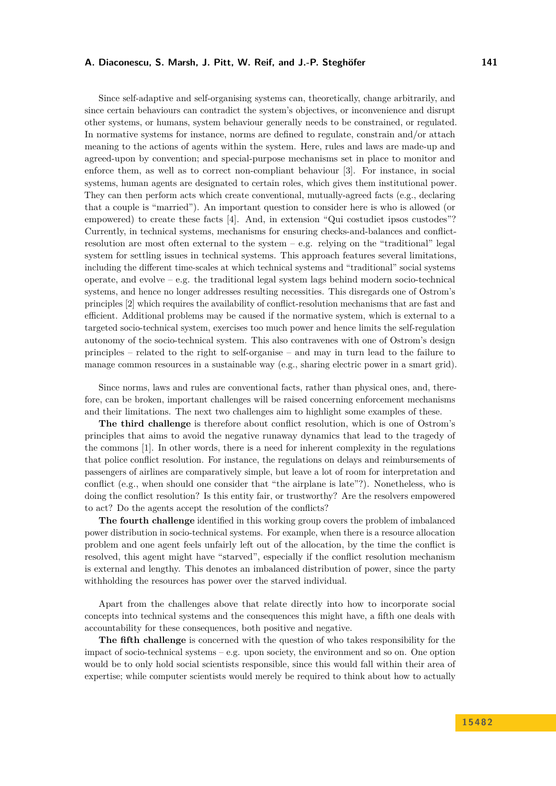Since self-adaptive and self-organising systems can, theoretically, change arbitrarily, and since certain behaviours can contradict the system's objectives, or inconvenience and disrupt other systems, or humans, system behaviour generally needs to be constrained, or regulated. In normative systems for instance, norms are defined to regulate, constrain and/or attach meaning to the actions of agents within the system. Here, rules and laws are made-up and agreed-upon by convention; and special-purpose mechanisms set in place to monitor and enforce them, as well as to correct non-compliant behaviour [[3](#page-15-1)]. For instance, in social systems, human agents are designated to certain roles, which gives them institutional power. They can then perform acts which create conventional, mutually-agreed facts (e.g., declaring that a couple is "married"). An important question to consider here is who is allowed (or empowered) to create these facts [[4](#page-15-2)]. And, in extension "Qui costudiet ipsos custodes"? Currently, in technical systems, mechanisms for ensuring checks-and-balances and conflictresolution are most often external to the system  $-$  e.g. relying on the "traditional" legal system for settling issues in technical systems. This approach features several limitations, including the different time-scales at which technical systems and "traditional" social systems operate, and evolve  $-e.g.$  the traditional legal system lags behind modern socio-technical systems, and hence no longer addresses resulting necessities. This disregards one of Ostrom's principles [[2](#page-15-3)] which requires the availability of conflict-resolution mechanisms that are fast and efficient. Additional problems may be caused if the normative system, which is external to a targeted socio-technical system, exercises too much power and hence limits the self-regulation autonomy of the socio-technical system. This also contravenes with one of Ostrom's design principles – related to the right to self-organise – and may in turn lead to the failure to manage common resources in a sustainable way (e.g., sharing electric power in a smart grid).

Since norms, laws and rules are conventional facts, rather than physical ones, and, therefore, can be broken, important challenges will be raised concerning enforcement mechanisms and their limitations. The next two challenges aim to highlight some examples of these.

**The third challenge** is therefore about conflict resolution, which is one of Ostrom's principles that aims to avoid the negative runaway dynamics that lead to the tragedy of the commons [\[1\]](#page-15-4). In other words, there is a need for inherent complexity in the regulations that police conflict resolution. For instance, the regulations on delays and reimbursements of passengers of airlines are comparatively simple, but leave a lot of room for interpretation and conflict (e.g., when should one consider that "the airplane is late"?). Nonetheless, who is doing the conflict resolution? Is this entity fair, or trustworthy? Are the resolvers empowered to act? Do the agents accept the resolution of the conflicts?

**The fourth challenge** identified in this working group covers the problem of imbalanced power distribution in socio-technical systems. For example, when there is a resource allocation problem and one agent feels unfairly left out of the allocation, by the time the conflict is resolved, this agent might have "starved", especially if the conflict resolution mechanism is external and lengthy. This denotes an imbalanced distribution of power, since the party withholding the resources has power over the starved individual.

Apart from the challenges above that relate directly into how to incorporate social concepts into technical systems and the consequences this might have, a fifth one deals with accountability for these consequences, both positive and negative.

**The fifth challenge** is concerned with the question of who takes responsibility for the impact of socio-technical systems – e.g. upon society, the environment and so on. One option would be to only hold social scientists responsible, since this would fall within their area of expertise; while computer scientists would merely be required to think about how to actually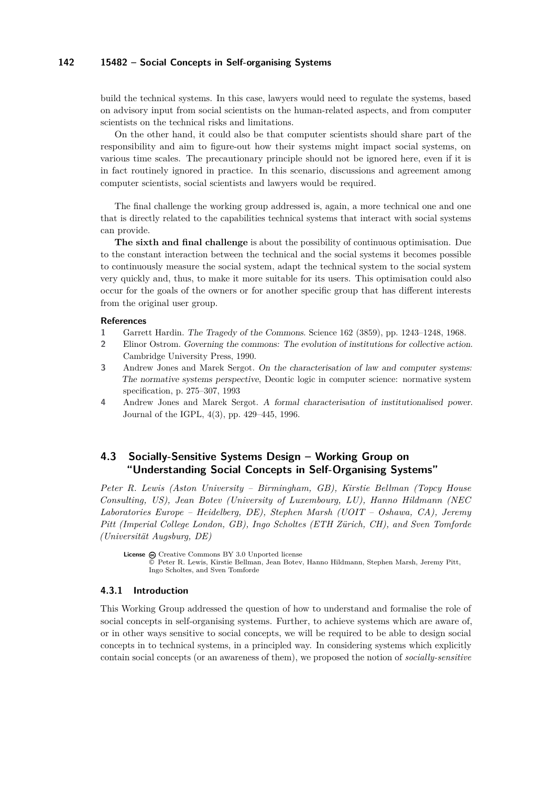build the technical systems. In this case, lawyers would need to regulate the systems, based on advisory input from social scientists on the human-related aspects, and from computer scientists on the technical risks and limitations.

On the other hand, it could also be that computer scientists should share part of the responsibility and aim to figure-out how their systems might impact social systems, on various time scales. The precautionary principle should not be ignored here, even if it is in fact routinely ignored in practice. In this scenario, discussions and agreement among computer scientists, social scientists and lawyers would be required.

The final challenge the working group addressed is, again, a more technical one and one that is directly related to the capabilities technical systems that interact with social systems can provide.

**The sixth and final challenge** is about the possibility of continuous optimisation. Due to the constant interaction between the technical and the social systems it becomes possible to continuously measure the social system, adapt the technical system to the social system very quickly and, thus, to make it more suitable for its users. This optimisation could also occur for the goals of the owners or for another specific group that has different interests from the original user group.

#### **References**

- <span id="page-15-4"></span>**1** Garrett Hardin. The Tragedy of the Commons. Science 162 (3859), pp. 1243–1248, 1968.
- <span id="page-15-3"></span>**2** Elinor Ostrom. Governing the commons: The evolution of institutions for collective action. Cambridge University Press, 1990.
- <span id="page-15-1"></span>**3** Andrew Jones and Marek Sergot. On the characterisation of law and computer systems: The normative systems perspective, Deontic logic in computer science: normative system specification, p. 275–307, 1993
- <span id="page-15-2"></span>**4** Andrew Jones and Marek Sergot. A formal characterisation of institutionalised power. Journal of the IGPL, 4(3), pp. 429–445, 1996.

# <span id="page-15-0"></span>**4.3 Socially-Sensitive Systems Design – Working Group on "Understanding Social Concepts in Self-Organising Systems"**

*Peter R. Lewis (Aston University – Birmingham, GB), Kirstie Bellman (Topcy House Consulting, US), Jean Botev (University of Luxembourg, LU), Hanno Hildmann (NEC Laboratories Europe – Heidelberg, DE), Stephen Marsh (UOIT – Oshawa, CA), Jeremy Pitt (Imperial College London, GB), Ingo Scholtes (ETH Zürich, CH), and Sven Tomforde (Universität Augsburg, DE)*

License  $\textcircled{c}$  [Creative Commons BY 3.0 Unported](http://creativecommons.org/licenses/by/3.0/) license © [Peter R. Lewis, Kirstie Bellman, Jean Botev, Hanno Hildmann, Stephen Marsh, Jeremy Pitt,](#page-15-0) [Ingo Scholtes, and Sven Tomforde](#page-15-0)

## **4.3.1 Introduction**

This Working Group addressed the question of how to understand and formalise the role of social concepts in self-organising systems. Further, to achieve systems which are aware of, or in other ways sensitive to social concepts, we will be required to be able to design social concepts in to technical systems, in a principled way. In considering systems which explicitly contain social concepts (or an awareness of them), we proposed the notion of *socially-sensitive*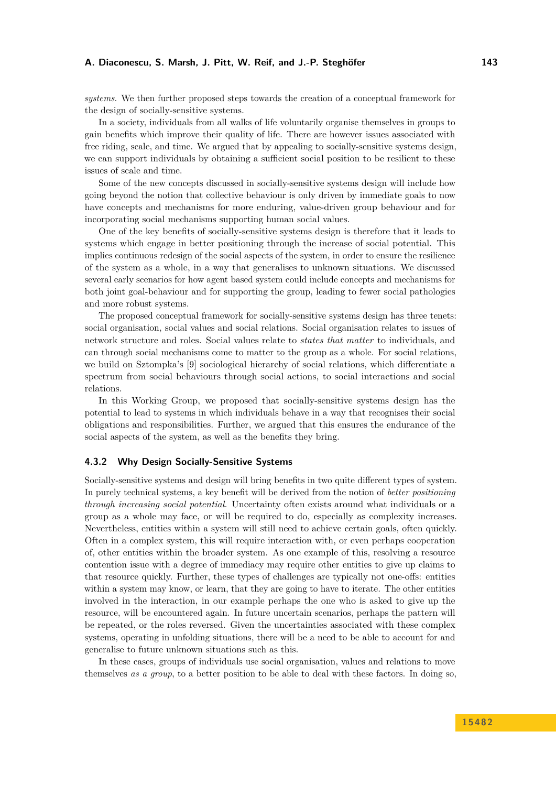*systems*. We then further proposed steps towards the creation of a conceptual framework for the design of socially-sensitive systems.

In a society, individuals from all walks of life voluntarily organise themselves in groups to gain benefits which improve their quality of life. There are however issues associated with free riding, scale, and time. We argued that by appealing to socially-sensitive systems design, we can support individuals by obtaining a sufficient social position to be resilient to these issues of scale and time.

Some of the new concepts discussed in socially-sensitive systems design will include how going beyond the notion that collective behaviour is only driven by immediate goals to now have concepts and mechanisms for more enduring, value-driven group behaviour and for incorporating social mechanisms supporting human social values.

One of the key benefits of socially-sensitive systems design is therefore that it leads to systems which engage in better positioning through the increase of social potential. This implies continuous redesign of the social aspects of the system, in order to ensure the resilience of the system as a whole, in a way that generalises to unknown situations. We discussed several early scenarios for how agent based system could include concepts and mechanisms for both joint goal-behaviour and for supporting the group, leading to fewer social pathologies and more robust systems.

The proposed conceptual framework for socially-sensitive systems design has three tenets: social organisation, social values and social relations. Social organisation relates to issues of network structure and roles. Social values relate to *states that matter* to individuals, and can through social mechanisms come to matter to the group as a whole. For social relations, we build on Sztompka's [[9](#page-20-0)] sociological hierarchy of social relations, which differentiate a spectrum from social behaviours through social actions, to social interactions and social relations.

In this Working Group, we proposed that socially-sensitive systems design has the potential to lead to systems in which individuals behave in a way that recognises their social obligations and responsibilities. Further, we argued that this ensures the endurance of the social aspects of the system, as well as the benefits they bring.

### **4.3.2 Why Design Socially-Sensitive Systems**

Socially-sensitive systems and design will bring benefits in two quite different types of system. In purely technical systems, a key benefit will be derived from the notion of *better positioning through increasing social potential*. Uncertainty often exists around what individuals or a group as a whole may face, or will be required to do, especially as complexity increases. Nevertheless, entities within a system will still need to achieve certain goals, often quickly. Often in a complex system, this will require interaction with, or even perhaps cooperation of, other entities within the broader system. As one example of this, resolving a resource contention issue with a degree of immediacy may require other entities to give up claims to that resource quickly. Further, these types of challenges are typically not one-offs: entities within a system may know, or learn, that they are going to have to iterate. The other entities involved in the interaction, in our example perhaps the one who is asked to give up the resource, will be encountered again. In future uncertain scenarios, perhaps the pattern will be repeated, or the roles reversed. Given the uncertainties associated with these complex systems, operating in unfolding situations, there will be a need to be able to account for and generalise to future unknown situations such as this.

In these cases, groups of individuals use social organisation, values and relations to move themselves *as a group*, to a better position to be able to deal with these factors. In doing so,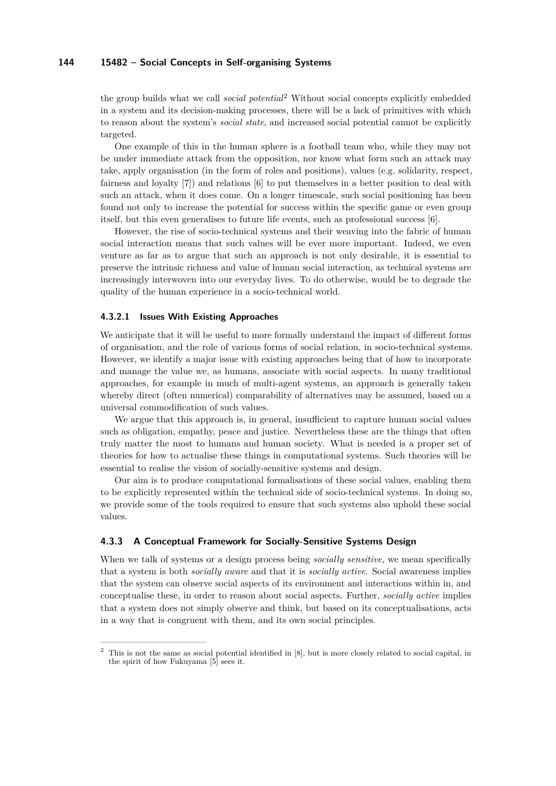the group builds what we call *social potential*[2](#page-17-0) Without social concepts explicitly embedded in a system and its decision-making processes, there will be a lack of primitives with which to reason about the system's *social state*, and increased social potential cannot be explicitly targeted.

One example of this in the human sphere is a football team who, while they may not be under immediate attack from the opposition, nor know what form such an attack may take, apply organisation (in the form of roles and positions), values (e.g. solidarity, respect, fairness and loyalty [[7](#page-20-1)]) and relations [[6](#page-20-2)] to put themselves in a better position to deal with such an attack, when it does come. On a longer timescale, such social positioning has been found not only to increase the potential for success within the specific game or even group itself, but this even generalises to future life events, such as professional success [\[6\]](#page-20-2).

However, the rise of socio-technical systems and their weaving into the fabric of human social interaction means that such values will be ever more important. Indeed, we even venture as far as to argue that such an approach is not only desirable, it is essential to preserve the intrinsic richness and value of human social interaction, as technical systems are increasingly interwoven into our everyday lives. To do otherwise, would be to degrade the quality of the human experience in a socio-technical world.

## **4.3.2.1 Issues With Existing Approaches**

We anticipate that it will be useful to more formally understand the impact of different forms of organisation, and the role of various forms of social relation, in socio-technical systems. However, we identify a major issue with existing approaches being that of how to incorporate and manage the value we, as humans, associate with social aspects. In many traditional approaches, for example in much of multi-agent systems, an approach is generally taken whereby direct (often numerical) comparability of alternatives may be assumed, based on a universal commodification of such values.

We argue that this approach is, in general, insufficient to capture human social values such as obligation, empathy, peace and justice. Nevertheless these are the things that often truly matter the most to humans and human society. What is needed is a proper set of theories for how to actualise these things in computational systems. Such theories will be essential to realise the vision of socially-sensitive systems and design.

Our aim is to produce computational formalisations of these social values, enabling them to be explicitly represented within the technical side of socio-technical systems. In doing so, we provide some of the tools required to ensure that such systems also uphold these social values.

### **4.3.3 A Conceptual Framework for Socially-Sensitive Systems Design**

When we talk of systems or a design process being *socially sensitive*, we mean specifically that a system is both *socially aware* and that it is *socially active*. Social awareness implies that the system can observe social aspects of its environment and interactions within in, and conceptualise these, in order to reason about social aspects. Further, *socially active* implies that a system does not simply observe and think, but based on its conceptualisations, acts in a way that is congruent with them, and its own social principles.

<span id="page-17-0"></span><sup>&</sup>lt;sup>2</sup> This is not the same as social potential identified in [[8](#page-20-3)], but is more closely related to social capital, in the spirit of how Fukuyama [\[5\]](#page-20-4) sees it.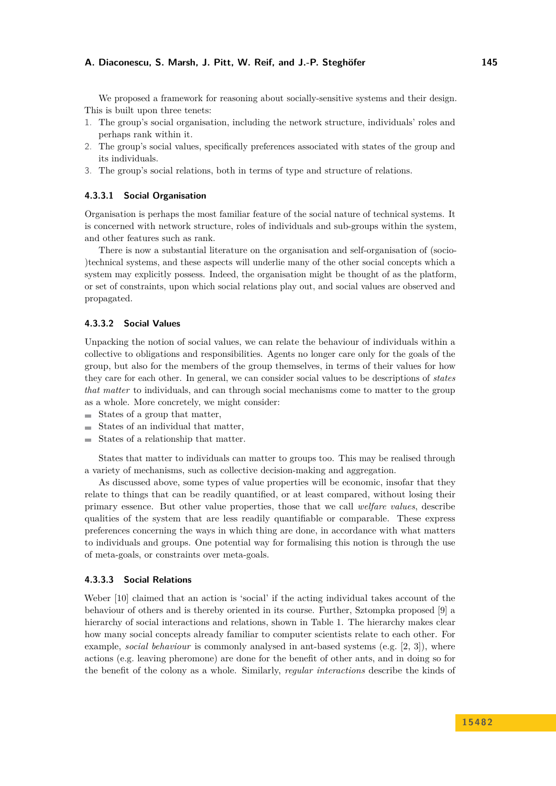We proposed a framework for reasoning about socially-sensitive systems and their design. This is built upon three tenets:

- 1. The group's social organisation, including the network structure, individuals' roles and perhaps rank within it.
- 2. The group's social values, specifically preferences associated with states of the group and its individuals.
- 3. The group's social relations, both in terms of type and structure of relations.

#### **4.3.3.1 Social Organisation**

Organisation is perhaps the most familiar feature of the social nature of technical systems. It is concerned with network structure, roles of individuals and sub-groups within the system, and other features such as rank.

There is now a substantial literature on the organisation and self-organisation of (socio- )technical systems, and these aspects will underlie many of the other social concepts which a system may explicitly possess. Indeed, the organisation might be thought of as the platform, or set of constraints, upon which social relations play out, and social values are observed and propagated.

## **4.3.3.2 Social Values**

Unpacking the notion of social values, we can relate the behaviour of individuals within a collective to obligations and responsibilities. Agents no longer care only for the goals of the group, but also for the members of the group themselves, in terms of their values for how they care for each other. In general, we can consider social values to be descriptions of *states that matter* to individuals, and can through social mechanisms come to matter to the group as a whole. More concretely, we might consider:

- $\blacksquare$  States of a group that matter,
- $\blacksquare$  States of an individual that matter,
- States of a relationship that matter.

States that matter to individuals can matter to groups too. This may be realised through a variety of mechanisms, such as collective decision-making and aggregation.

As discussed above, some types of value properties will be economic, insofar that they relate to things that can be readily quantified, or at least compared, without losing their primary essence. But other value properties, those that we call *welfare values*, describe qualities of the system that are less readily quantifiable or comparable. These express preferences concerning the ways in which thing are done, in accordance with what matters to individuals and groups. One potential way for formalising this notion is through the use of meta-goals, or constraints over meta-goals.

## **4.3.3.3 Social Relations**

Weber [[10](#page-20-5)] claimed that an action is 'social' if the acting individual takes account of the behaviour of others and is thereby oriented in its course. Further, Sztompka proposed [[9](#page-20-0)] a hierarchy of social interactions and relations, shown in Table [1.](#page-19-0) The hierarchy makes clear how many social concepts already familiar to computer scientists relate to each other. For example, *social behaviour* is commonly analysed in ant-based systems (e.g. [[2](#page-20-6), [3](#page-20-7)]), where actions (e.g. leaving pheromone) are done for the benefit of other ants, and in doing so for the benefit of the colony as a whole. Similarly, *regular interactions* describe the kinds of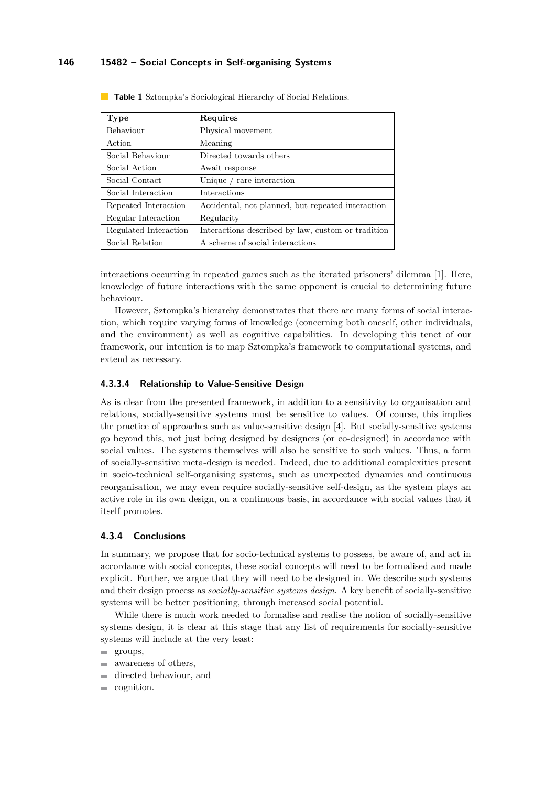| Type                  | Requires                                           |
|-----------------------|----------------------------------------------------|
| Behaviour             | Physical movement                                  |
| Action                | Meaning                                            |
| Social Behaviour      | Directed towards others                            |
| Social Action         | Await response                                     |
| Social Contact        | Unique / rare interaction                          |
| Social Interaction    | <b>Interactions</b>                                |
| Repeated Interaction  | Accidental, not planned, but repeated interaction  |
| Regular Interaction   | Regularity                                         |
| Regulated Interaction | Interactions described by law, custom or tradition |
| Social Relation       | A scheme of social interactions                    |

<span id="page-19-0"></span>**Table 1** Sztompka's Sociological Hierarchy of Social Relations.

interactions occurring in repeated games such as the iterated prisoners' dilemma [[1](#page-20-8)]. Here, knowledge of future interactions with the same opponent is crucial to determining future behaviour.

However, Sztompka's hierarchy demonstrates that there are many forms of social interaction, which require varying forms of knowledge (concerning both oneself, other individuals, and the environment) as well as cognitive capabilities. In developing this tenet of our framework, our intention is to map Sztompka's framework to computational systems, and extend as necessary.

## **4.3.3.4 Relationship to Value-Sensitive Design**

As is clear from the presented framework, in addition to a sensitivity to organisation and relations, socially-sensitive systems must be sensitive to values. Of course, this implies the practice of approaches such as value-sensitive design [[4](#page-20-9)]. But socially-sensitive systems go beyond this, not just being designed by designers (or co-designed) in accordance with social values. The systems themselves will also be sensitive to such values. Thus, a form of socially-sensitive meta-design is needed. Indeed, due to additional complexities present in socio-technical self-organising systems, such as unexpected dynamics and continuous reorganisation, we may even require socially-sensitive self-design, as the system plays an active role in its own design, on a continuous basis, in accordance with social values that it itself promotes.

## **4.3.4 Conclusions**

In summary, we propose that for socio-technical systems to possess, be aware of, and act in accordance with social concepts, these social concepts will need to be formalised and made explicit. Further, we argue that they will need to be designed in. We describe such systems and their design process as *socially-sensitive systems design*. A key benefit of socially-sensitive systems will be better positioning, through increased social potential.

While there is much work needed to formalise and realise the notion of socially-sensitive systems design, it is clear at this stage that any list of requirements for socially-sensitive systems will include at the very least:

- awareness of others, m.
- directed behaviour, and
- cognition.

groups,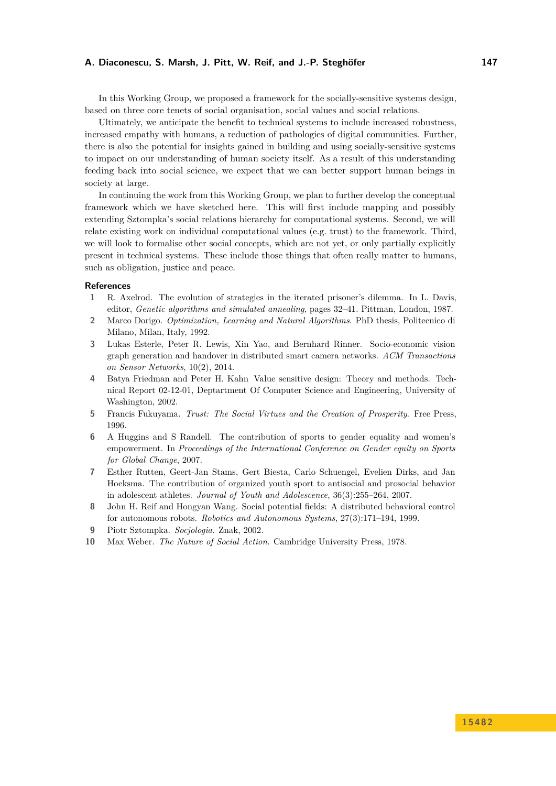In this Working Group, we proposed a framework for the socially-sensitive systems design, based on three core tenets of social organisation, social values and social relations.

Ultimately, we anticipate the benefit to technical systems to include increased robustness, increased empathy with humans, a reduction of pathologies of digital communities. Further, there is also the potential for insights gained in building and using socially-sensitive systems to impact on our understanding of human society itself. As a result of this understanding feeding back into social science, we expect that we can better support human beings in society at large.

In continuing the work from this Working Group, we plan to further develop the conceptual framework which we have sketched here. This will first include mapping and possibly extending Sztompka's social relations hierarchy for computational systems. Second, we will relate existing work on individual computational values (e.g. trust) to the framework. Third, we will look to formalise other social concepts, which are not yet, or only partially explicitly present in technical systems. These include those things that often really matter to humans, such as obligation, justice and peace.

## <span id="page-20-8"></span>**References**

- **1** R. Axelrod. The evolution of strategies in the iterated prisoner's dilemma. In L. Davis, editor, *Genetic algorithms and simulated annealing*, pages 32–41. Pittman, London, 1987.
- <span id="page-20-6"></span>**2** Marco Dorigo. *Optimization, Learning and Natural Algorithms*. PhD thesis, Politecnico di Milano, Milan, Italy, 1992.
- <span id="page-20-7"></span>**3** Lukas Esterle, Peter R. Lewis, Xin Yao, and Bernhard Rinner. Socio-economic vision graph generation and handover in distributed smart camera networks. *ACM Transactions on Sensor Networks*, 10(2), 2014.
- <span id="page-20-9"></span>**4** Batya Friedman and Peter H. Kahn Value sensitive design: Theory and methods. Technical Report 02-12-01, Deptartment Of Computer Science and Engineering, University of Washington, 2002.
- <span id="page-20-4"></span>**5** Francis Fukuyama. *Trust: The Social Virtues and the Creation of Prosperity*. Free Press, 1996.
- <span id="page-20-2"></span>**6** A Huggins and S Randell. The contribution of sports to gender equality and women's empowerment. In *Proceedings of the International Conference on Gender equity on Sports for Global Change*, 2007.
- <span id="page-20-1"></span>**7** Esther Rutten, Geert-Jan Stams, Gert Biesta, Carlo Schuengel, Evelien Dirks, and Jan Hoeksma. The contribution of organized youth sport to antisocial and prosocial behavior in adolescent athletes. *Journal of Youth and Adolescence*, 36(3):255–264, 2007.
- <span id="page-20-3"></span>**8** John H. Reif and Hongyan Wang. Social potential fields: A distributed behavioral control for autonomous robots. *Robotics and Autonomous Systems*, 27(3):171–194, 1999.
- <span id="page-20-0"></span>**9** Piotr Sztompka. *Socjologia*. Znak, 2002.
- <span id="page-20-5"></span>**10** Max Weber. *The Nature of Social Action*. Cambridge University Press, 1978.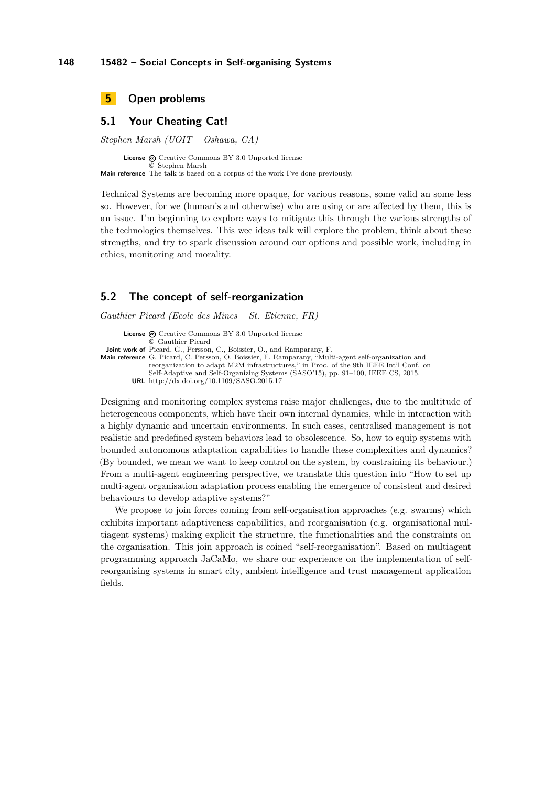<span id="page-21-0"></span>

# <span id="page-21-1"></span>**5.1 Your Cheating Cat!**

*Stephen Marsh (UOIT – Oshawa, CA)*

License @ [Creative Commons BY 3.0 Unported](http://creativecommons.org/licenses/by/3.0/) license © [Stephen Marsh](#page-21-1) **Main reference** [The talk is based on a corpus of the work I've done previously.](The talk is based on a corpus of the work I)

Technical Systems are becoming more opaque, for various reasons, some valid an some less so. However, for we (human's and otherwise) who are using or are affected by them, this is an issue. I'm beginning to explore ways to mitigate this through the various strengths of the technologies themselves. This wee ideas talk will explore the problem, think about these strengths, and try to spark discussion around our options and possible work, including in ethics, monitoring and morality.

## <span id="page-21-2"></span>**5.2 The concept of self-reorganization**

*Gauthier Picard (Ecole des Mines – St. Etienne, FR)*

**License**  $\odot$  [Creative Commons BY 3.0 Unported](http://creativecommons.org/licenses/by/3.0/) license © [Gauthier Picard](#page-21-2) **Joint work of** Picard, G., Persson, C., Boissier, O., and Ramparany, F. **Main reference** [G. Picard, C. Persson, O. Boissier, F. Ramparany, "Multi-agent self-organization and](http://dx.doi.org/10.1109/SASO.2015.17) [reorganization to adapt M2M infrastructures," in Proc. of the 9th IEEE Int'l Conf. on](http://dx.doi.org/10.1109/SASO.2015.17) [Self-Adaptive and Self-Organizing Systems \(SASO'15\), pp. 91–100, IEEE CS, 2015.](http://dx.doi.org/10.1109/SASO.2015.17) **URL** <http://dx.doi.org/10.1109/SASO.2015.17>

Designing and monitoring complex systems raise major challenges, due to the multitude of heterogeneous components, which have their own internal dynamics, while in interaction with a highly dynamic and uncertain environments. In such cases, centralised management is not realistic and predefined system behaviors lead to obsolescence. So, how to equip systems with bounded autonomous adaptation capabilities to handle these complexities and dynamics? (By bounded, we mean we want to keep control on the system, by constraining its behaviour.) From a multi-agent engineering perspective, we translate this question into "How to set up multi-agent organisation adaptation process enabling the emergence of consistent and desired behaviours to develop adaptive systems?"

We propose to join forces coming from self-organisation approaches (e.g. swarms) which exhibits important adaptiveness capabilities, and reorganisation (e.g. organisational multiagent systems) making explicit the structure, the functionalities and the constraints on the organisation. This join approach is coined "self-reorganisation". Based on multiagent programming approach JaCaMo, we share our experience on the implementation of selfreorganising systems in smart city, ambient intelligence and trust management application fields.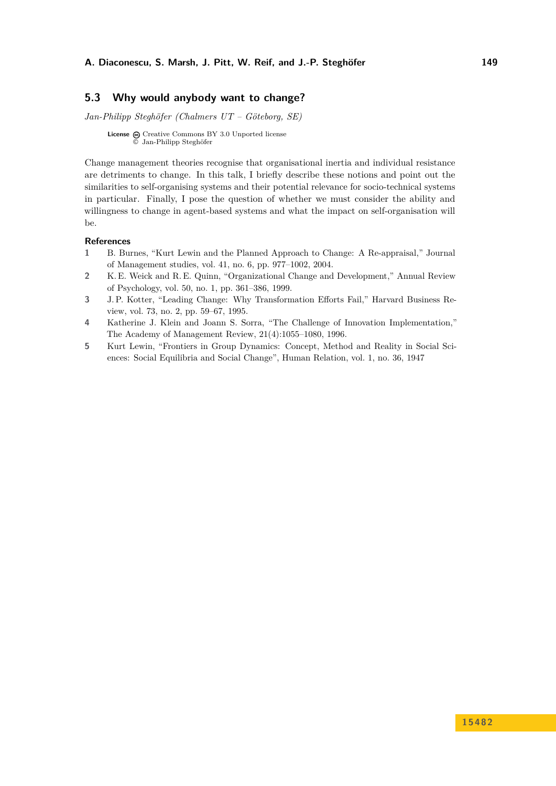# <span id="page-22-0"></span>**5.3 Why would anybody want to change?**

*Jan-Philipp Steghöfer (Chalmers UT – Göteborg, SE)*

**License** @ [Creative Commons BY 3.0 Unported](http://creativecommons.org/licenses/by/3.0/) license © [Jan-Philipp Steghöfer](#page-22-0)

Change management theories recognise that organisational inertia and individual resistance are detriments to change. In this talk, I briefly describe these notions and point out the similarities to self-organising systems and their potential relevance for socio-technical systems in particular. Finally, I pose the question of whether we must consider the ability and willingness to change in agent-based systems and what the impact on self-organisation will be.

## **References**

- **1** B. Burnes, "Kurt Lewin and the Planned Approach to Change: A Re-appraisal," Journal of Management studies, vol. 41, no. 6, pp. 977–1002, 2004.
- **2** K. E. Weick and R. E. Quinn, "Organizational Change and Development," Annual Review of Psychology, vol. 50, no. 1, pp. 361–386, 1999.
- **3** J. P. Kotter, "Leading Change: Why Transformation Efforts Fail," Harvard Business Review, vol. 73, no. 2, pp. 59–67, 1995.
- **4** Katherine J. Klein and Joann S. Sorra, "The Challenge of Innovation Implementation," The Academy of Management Review, 21(4):1055–1080, 1996.
- **5** Kurt Lewin, "Frontiers in Group Dynamics: Concept, Method and Reality in Social Sciences: Social Equilibria and Social Change", Human Relation, vol. 1, no. 36, 1947